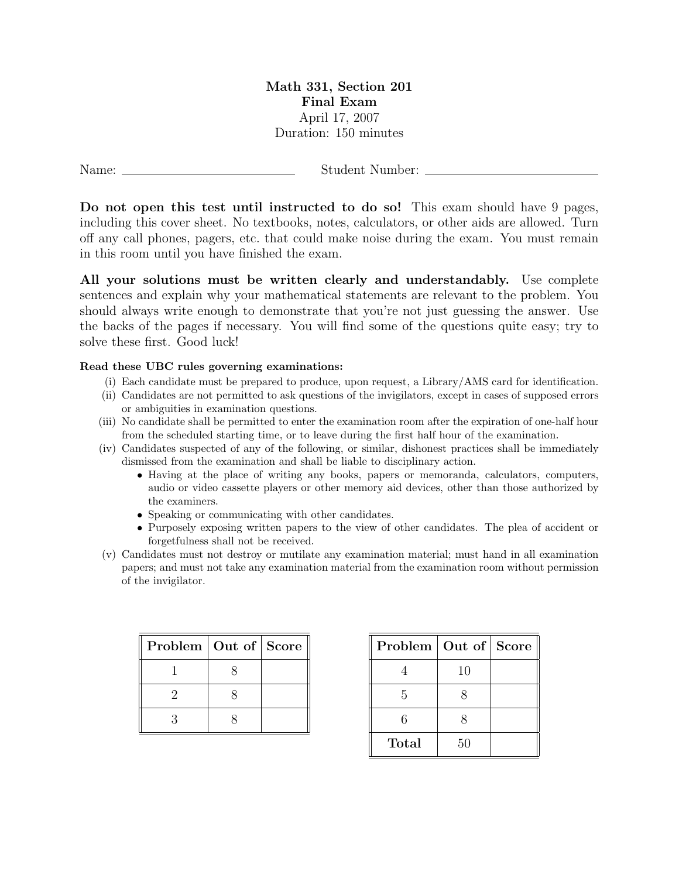## Math 331, Section 201 Final Exam April 17, 2007 Duration: 150 minutes

Name: Student Number:

Do not open this test until instructed to do so! This exam should have 9 pages, including this cover sheet. No textbooks, notes, calculators, or other aids are allowed. Turn off any call phones, pagers, etc. that could make noise during the exam. You must remain in this room until you have finished the exam.

All your solutions must be written clearly and understandably. Use complete sentences and explain why your mathematical statements are relevant to the problem. You should always write enough to demonstrate that you're not just guessing the answer. Use the backs of the pages if necessary. You will find some of the questions quite easy; try to solve these first. Good luck!

## Read these UBC rules governing examinations:

- (i) Each candidate must be prepared to produce, upon request, a Library/AMS card for identification.
- (ii) Candidates are not permitted to ask questions of the invigilators, except in cases of supposed errors or ambiguities in examination questions.
- (iii) No candidate shall be permitted to enter the examination room after the expiration of one-half hour from the scheduled starting time, or to leave during the first half hour of the examination.
- (iv) Candidates suspected of any of the following, or similar, dishonest practices shall be immediately dismissed from the examination and shall be liable to disciplinary action.
	- Having at the place of writing any books, papers or memoranda, calculators, computers, audio or video cassette players or other memory aid devices, other than those authorized by the examiners.
	- Speaking or communicating with other candidates.
	- Purposely exposing written papers to the view of other candidates. The plea of accident or forgetfulness shall not be received.
- (v) Candidates must not destroy or mutilate any examination material; must hand in all examination papers; and must not take any examination material from the examination room without permission of the invigilator.

| Problem   Out of   Score |  |
|--------------------------|--|
|                          |  |
| 2                        |  |
| २                        |  |

| Problem   Out of   Score |    |  |
|--------------------------|----|--|
|                          | 10 |  |
| 5                        |    |  |
| 6                        |    |  |
| Total                    | 50 |  |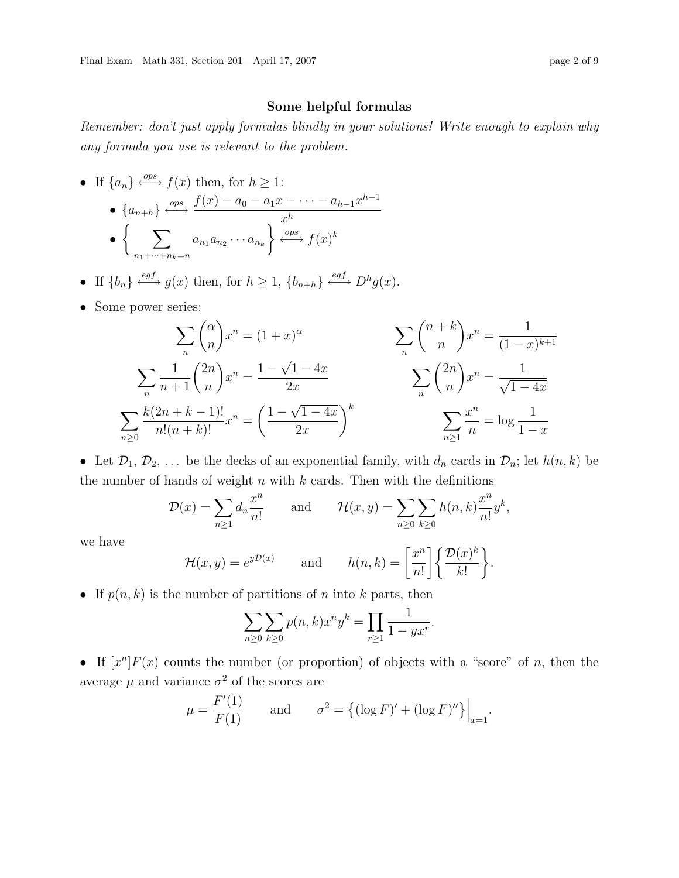## Some helpful formulas

Remember: don't just apply formulas blindly in your solutions! Write enough to explain why any formula you use is relevant to the problem.

- If  $\{a_n\} \stackrel{ops}{\longleftrightarrow} f(x)$  then, for  $h \geq 1$ : •  ${a_{n+h}} \xrightarrow{ops} \frac{f(x) - a_0 - a_1x - \cdots - a_{h-1}x^{h-1}}{gh}$  $x^h$  $\bullet \left\{ \quad \sum_{i=1}^n \right\}$  $n_1 + \cdots + n_k = n$  $a_{n_1} a_{n_2} \cdots a_{n_k}$  $\Big\} \stackrel{ops}{\longleftrightarrow} f(x)^k$
- If  $\{b_n\} \stackrel{egf}{\longleftrightarrow} g(x)$  then, for  $h \geq 1$ ,  $\{b_{n+h}\}\stackrel{egf}{\longleftrightarrow} D^h g(x)$ .
- Some power series:

$$
\sum_{n} {\binom{\alpha}{n}} x^{n} = (1+x)^{\alpha} \qquad \sum_{n} {\binom{n+k}{n}} x^{n} = \frac{1}{(1-x)^{k+1}}
$$

$$
\sum_{n} \frac{1}{n+1} {\binom{2n}{n}} x^{n} = \frac{1-\sqrt{1-4x}}{2x} \qquad \sum_{n} {\binom{2n}{n}} x^{n} = \frac{1}{\sqrt{1-4x}}
$$

$$
\sum_{n\geq 0} \frac{k(2n+k-1)!}{n!(n+k)!} x^{n} = \left(\frac{1-\sqrt{1-4x}}{2x}\right)^{k} \qquad \sum_{n\geq 1} \frac{x^{n}}{n} = \log \frac{1}{1-x}
$$

• Let  $\mathcal{D}_1, \mathcal{D}_2, \ldots$  be the decks of an exponential family, with  $d_n$  cards in  $\mathcal{D}_n$ ; let  $h(n, k)$  be the number of hands of weight  $n$  with  $k$  cards. Then with the definitions

$$
\mathcal{D}(x) = \sum_{n\geq 1} d_n \frac{x^n}{n!} \quad \text{and} \quad \mathcal{H}(x, y) = \sum_{n\geq 0} \sum_{k\geq 0} h(n, k) \frac{x^n}{n!} y^k,
$$

we have

$$
\mathcal{H}(x,y) = e^{y\mathcal{D}(x)} \quad \text{and} \quad h(n,k) = \left[\frac{x^n}{n!}\right] \left\{\frac{\mathcal{D}(x)^k}{k!}\right\}.
$$

• If  $p(n, k)$  is the number of partitions of n into k parts, then

$$
\sum_{n\geq 0} \sum_{k\geq 0} p(n,k) x^n y^k = \prod_{r\geq 1} \frac{1}{1 - y x^r}.
$$

• If  $[x^n]F(x)$  counts the number (or proportion) of objects with a "score" of n, then the average  $\mu$  and variance  $\sigma^2$  of the scores are

$$
\mu = \frac{F'(1)}{F(1)}
$$
 and  $\sigma^2 = \{(\log F)' + (\log F)''\}\Big|_{x=1}.$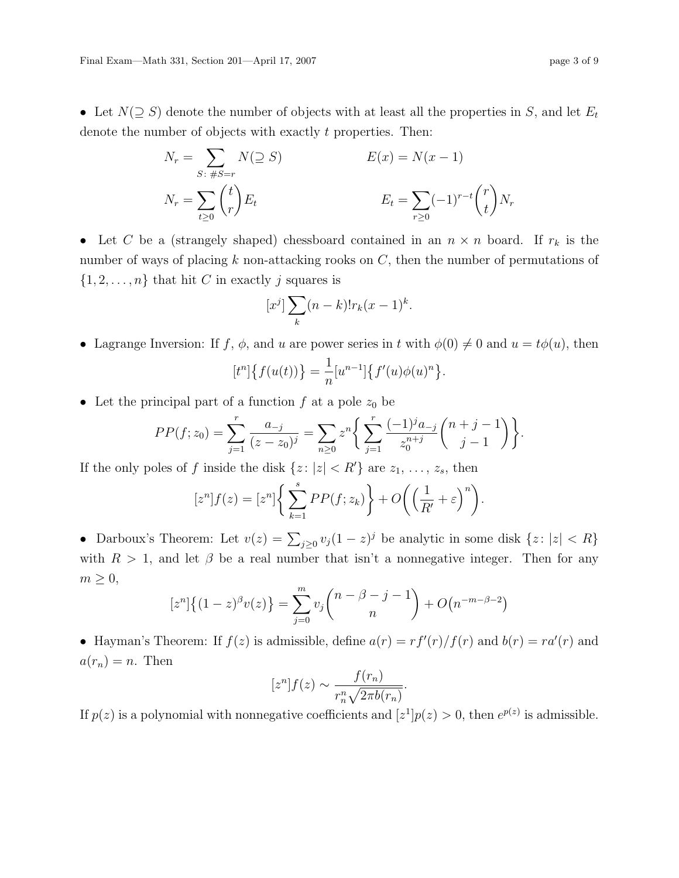• Let  $N(\supseteq S)$  denote the number of objects with at least all the properties in S, and let  $E_t$ denote the number of objects with exactly t properties. Then:

$$
N_r = \sum_{S: \#S=r} N(\supseteq S) \qquad E(x) = N(x-1)
$$
  

$$
N_r = \sum_{t \ge 0} {t \choose r} E_t \qquad E_t = \sum_{r \ge 0} (-1)^{r-t} {r \choose t} N_r
$$

• Let C be a (strangely shaped) chessboard contained in an  $n \times n$  board. If  $r_k$  is the number of ways of placing  $k$  non-attacking rooks on  $C$ , then the number of permutations of  $\{1, 2, \ldots, n\}$  that hit C in exactly j squares is

$$
[x^j] \sum_k (n-k)! r_k (x-1)^k.
$$

• Lagrange Inversion: If f,  $\phi$ , and u are power series in t with  $\phi(0) \neq 0$  and  $u = t\phi(u)$ , then

$$
[t^n]\big\{f(u(t))\big\} = \frac{1}{n}[u^{n-1}]\big\{f'(u)\phi(u)^n\big\}.
$$

• Let the principal part of a function  $f$  at a pole  $z_0$  be

$$
PP(f; z_0) = \sum_{j=1}^r \frac{a_{-j}}{(z - z_0)^j} = \sum_{n \ge 0} z^n \left\{ \sum_{j=1}^r \frac{(-1)^j a_{-j}}{z_0^{n+j}} {n+j-1 \choose j-1} \right\}.
$$

If the only poles of f inside the disk  $\{z: |z| < R'\}$  are  $z_1, \ldots, z_s$ , then

$$
[z^{n}]f(z) = [z^{n}] \left\{ \sum_{k=1}^{s} PP(f; z_{k}) \right\} + O\bigg( \Big(\frac{1}{R'} + \varepsilon \Big)^{n} \bigg).
$$

• Darboux's Theorem: Let  $v(z) = \sum_{j\geq 0} v_j(1-z)^j$  be analytic in some disk  $\{z: |z| < R\}$ with  $R > 1$ , and let  $\beta$  be a real number that isn't a nonnegative integer. Then for any  $m \geq 0$ ,

$$
[z^{n}]\{(1-z)^{\beta}v(z)\} = \sum_{j=0}^{m} v_{j} {n-\beta-j-1 \choose n} + O(n^{-m-\beta-2})
$$

• Hayman's Theorem: If  $f(z)$  is admissible, define  $a(r) = rf'(r)/f(r)$  and  $b(r) = ra'(r)$  and  $a(r_n) = n$ . Then

$$
[z^n]f(z) \sim \frac{f(r_n)}{r_n^n \sqrt{2\pi b(r_n)}}.
$$

If  $p(z)$  is a polynomial with nonnegative coefficients and  $[z^1]p(z) > 0$ , then  $e^{p(z)}$  is admissible.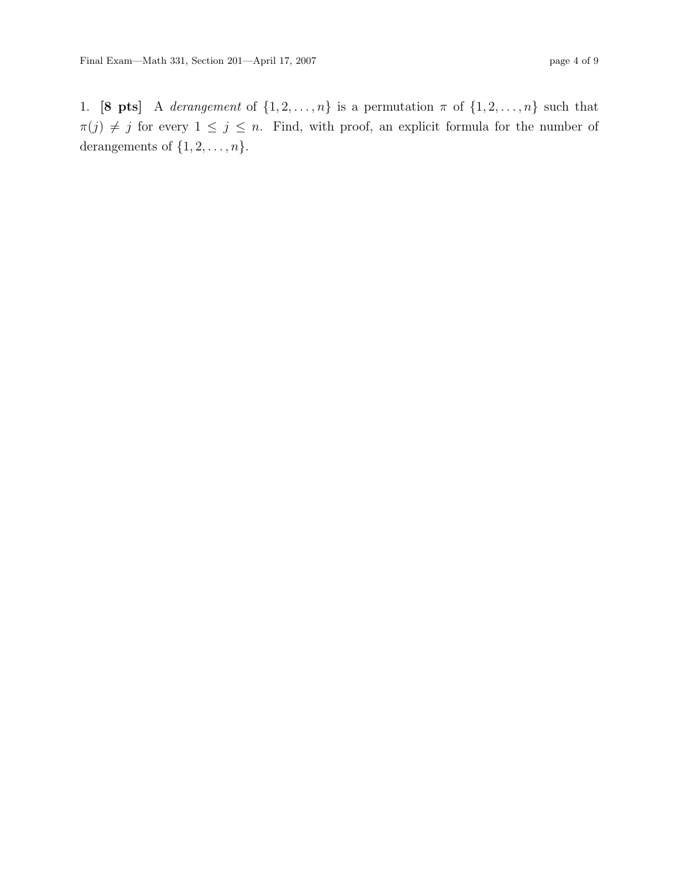1. [8 pts] A derangement of  $\{1, 2, ..., n\}$  is a permutation  $\pi$  of  $\{1, 2, ..., n\}$  such that  $\pi(j) \neq j$  for every  $1 \leq j \leq n$ . Find, with proof, an explicit formula for the number of derangements of  $\{1, 2, \ldots, n\}$ .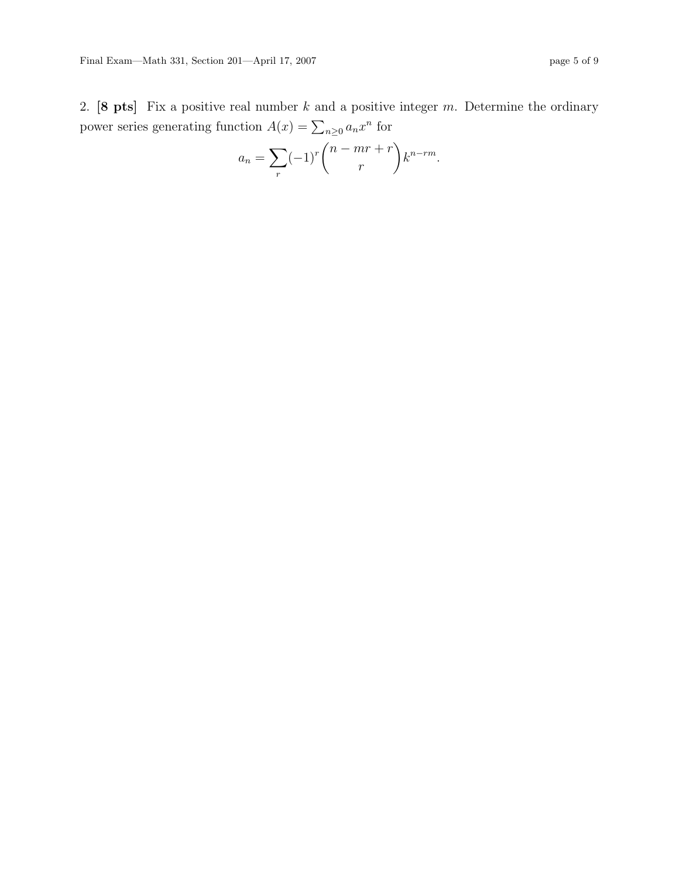2. [8 pts] Fix a positive real number  $k$  and a positive integer  $m$ . Determine the ordinary power series generating function  $A(x) = \sum_{n\geq 0} a_n x^n$  for

$$
a_n = \sum_r (-1)^r \binom{n - mr + r}{r} k^{n - rm}.
$$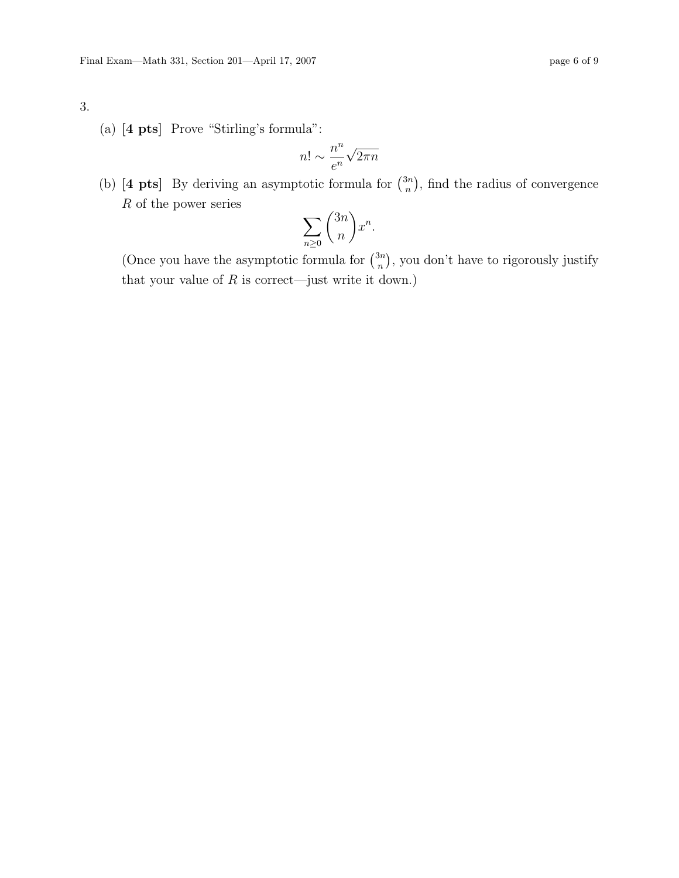## 3.

(a) [4 pts] Prove "Stirling's formula":

$$
n! \sim \frac{n^n}{e^n} \sqrt{2\pi n}
$$

(b) [4 pts] By deriving an asymptotic formula for  $\binom{3n}{n}$  $\binom{3n}{n}$ , find the radius of convergence R of the power series

$$
\sum_{n\geq 0} \binom{3n}{n} x^n.
$$

(Once you have the asymptotic formula for  $\binom{3n}{n}$  $\binom{3n}{n}$ , you don't have to rigorously justify that your value of  $R$  is correct—just write it down.)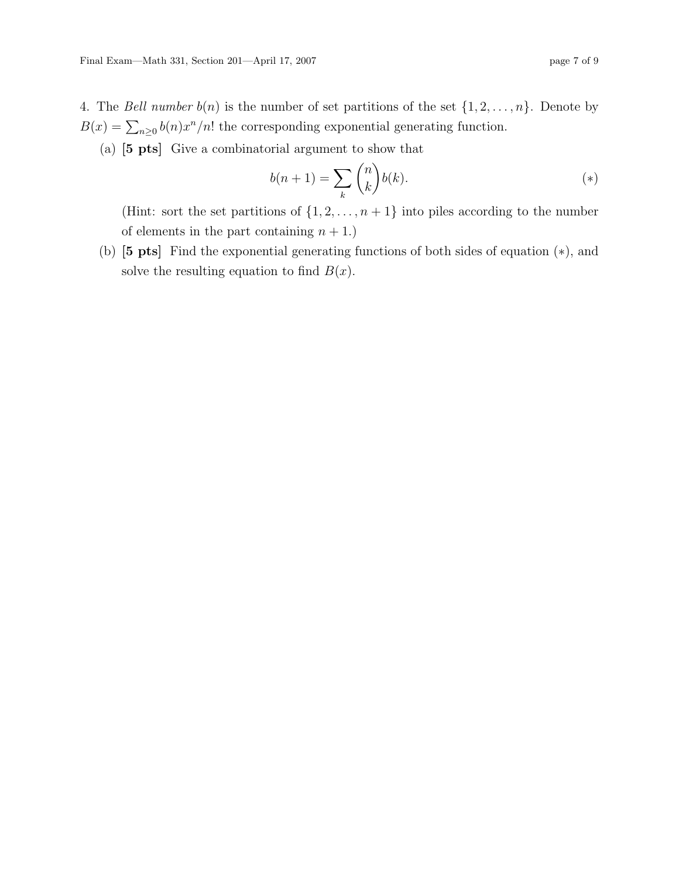4. The Bell number  $b(n)$  is the number of set partitions of the set  $\{1, 2, \ldots, n\}$ . Denote by  $B(x) = \sum_{n\geq 0} b(n)x^n/n!$  the corresponding exponential generating function.

(a) [5 pts] Give a combinatorial argument to show that

$$
b(n+1) = \sum_{k} \binom{n}{k} b(k). \tag{*}
$$

(Hint: sort the set partitions of  $\{1, 2, \ldots, n+1\}$  into piles according to the number of elements in the part containing  $n + 1$ .)

(b) [5 pts] Find the exponential generating functions of both sides of equation (∗), and solve the resulting equation to find  $B(x)$ .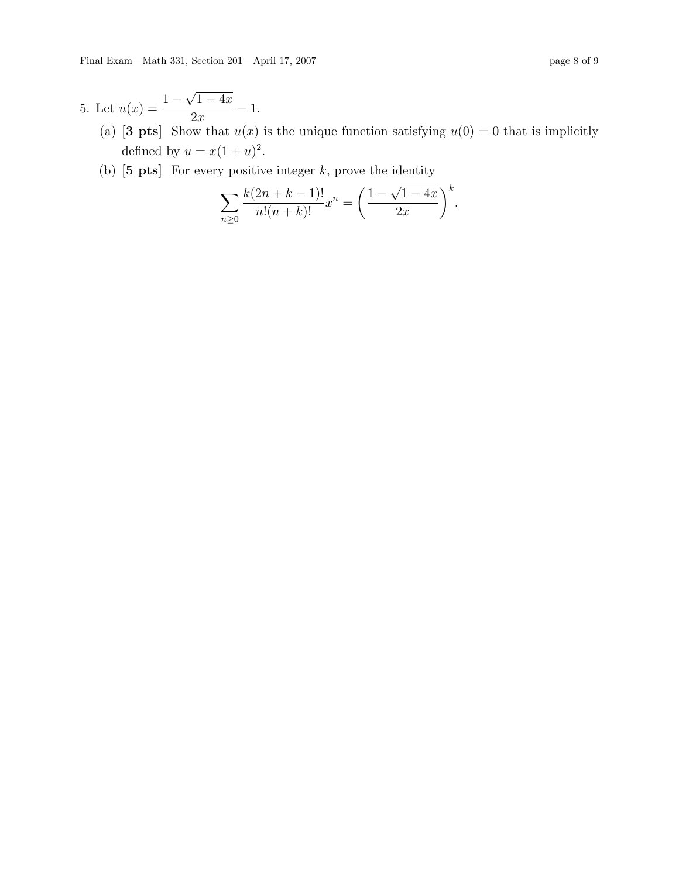- (a) [3 pts] Show that  $u(x)$  is the unique function satisfying  $u(0) = 0$  that is implicitly defined by  $u = x(1+u)^2$ .
- (b)  $\begin{bmatrix} 5 \text{ pts} \end{bmatrix}$  For every positive integer k, prove the identity

$$
\sum_{n\geq 0} \frac{k(2n+k-1)!}{n!(n+k)!} x^n = \left(\frac{1-\sqrt{1-4x}}{2x}\right)^k.
$$